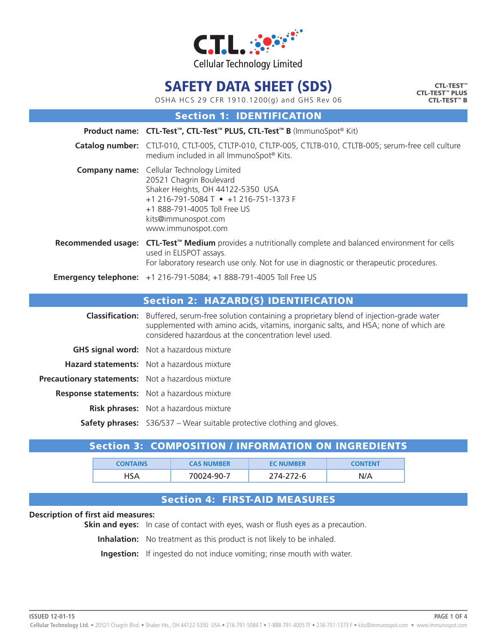

CTL-TEST™ CTL-TEST™ PLUS CTL-TEST™ B

OSHA HCS 29 CFR 1910.1200(g) and GHS Rev 06

Section 1: IDENTIFICATION

|                           | Product name: CTL-Test™, CTL-Test™ PLUS, CTL-Test™ B (ImmunoSpot® Kit)                                                                                                                                                                 |
|---------------------------|----------------------------------------------------------------------------------------------------------------------------------------------------------------------------------------------------------------------------------------|
|                           | Catalog number: CTLT-010, CTLT-005, CTLTP-010, CTLTP-005, CTLTB-010, CTLTB-005; serum-free cell culture<br>medium included in all ImmunoSpot® Kits.                                                                                    |
|                           | <b>Company name:</b> Cellular Technology Limited<br>20521 Chagrin Boulevard<br>Shaker Heights, OH 44122-5350 USA<br>+1 216-791-5084 T • +1 216-751-1373 F<br>+1 888-791-4005 Toll Free US<br>kits@immunospot.com<br>www.immunospot.com |
| <b>Recommended usage:</b> | CTL-Test <sup>™</sup> Medium provides a nutritionally complete and balanced environment for cells<br>used in ELISPOT assays.<br>For laboratory research use only. Not for use in diagnostic or therapeutic procedures.                 |
|                           | <b>Emergency telephone:</b> +1 216-791-5084; +1 888-791-4005 Toll Free US                                                                                                                                                              |

### Section 2: HAZARD(S) IDENTIFICATION

|                                                          | <b>Classification:</b> Buffered, serum-free solution containing a proprietary blend of injection-grade water<br>supplemented with amino acids, vitamins, inorganic salts, and HSA; none of which are<br>considered hazardous at the concentration level used. |
|----------------------------------------------------------|---------------------------------------------------------------------------------------------------------------------------------------------------------------------------------------------------------------------------------------------------------------|
|                                                          | <b>GHS signal word:</b> Not a hazardous mixture                                                                                                                                                                                                               |
|                                                          | <b>Hazard statements:</b> Not a hazardous mixture                                                                                                                                                                                                             |
| <b>Precautionary statements:</b> Not a hazardous mixture |                                                                                                                                                                                                                                                               |
|                                                          | <b>Response statements:</b> Not a hazardous mixture                                                                                                                                                                                                           |
|                                                          | <b>Risk phrases:</b> Not a hazardous mixture                                                                                                                                                                                                                  |
|                                                          | <b>Safety phrases:</b> S36/S37 – Wear suitable protective clothing and gloves.                                                                                                                                                                                |

### Section 3: COMPOSITION / INFORMATION ON INGREDIENTS

| <b>CONTAINS</b> | <b>CAS NUMBER</b> | <b>EC NUMBER</b> | <b>CONTENT</b> |
|-----------------|-------------------|------------------|----------------|
| 1SA             | 70024-90-7        | 274-272-6        | N/A            |

### Section 4: FIRST-AID MEASURES

#### **Description of first aid measures:**

**Skin and eyes:** In case of contact with eyes, wash or flush eyes as a precaution.

**Inhalation:** No treatment as this product is not likely to be inhaled.

**Ingestion:** If ingested do not induce vomiting; rinse mouth with water.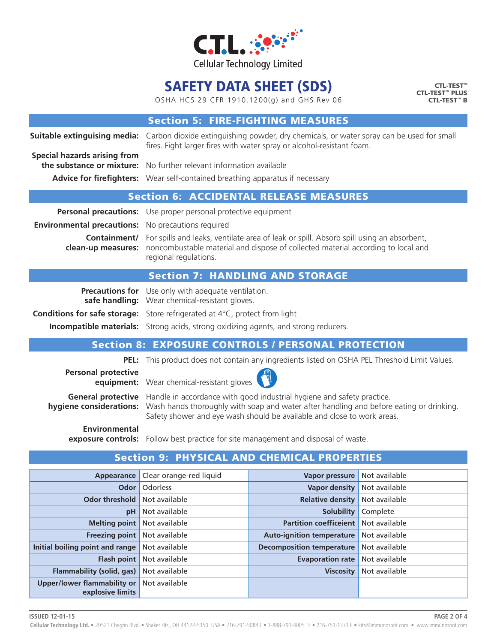

OSHA HCS 29 CFR 1910.1200(g) and GHS Rev 06

CTL-TEST™ CTL-TEST™ PLUS CTL-TEST™ B

### Section 5: FIRE-FIGHTING MEASURES

**Suitable extinguising media:** Carbon dioxide extinguishing powder, dry chemicals, or water spray can be used for small fires. Fight larger fires with water spray or alcohol-resistant foam. **Special hazards arising from the substance or mixture:** No further relevant information available **Advice for firefighters:** Wear self-contained breathing apparatus if necessary

### Section 6: ACCIDENTAL RELEASE MEASURES

**Personal precautions:** Use proper personal protective equipment **Environmental precautions:** No precautions required

**Containment/** For spills and leaks, ventilate area of leak or spill. Absorb spill using an absorbent, **clean-up measures:** noncombustable material and dispose of collected material according to local and regional regulations.

### Section 7: HANDLING AND STORAGE

**Precautions for** Use only with adequate ventilation. **Conditions for safe storage:** Store refrigerated at 4°C, protect from light

**safe handling:** Wear chemical-resistant gloves.

**Incompatible materials:** Strong acids, strong oxidizing agents, and strong reducers.

## Section 8: EXPOSURE CONTROLS / PERSONAL PROTECTION

**PEL:** This product does not contain any ingredients listed on OSHA PEL Threshold Limit Values.

**Personal protective** 

**equipment:** Wear chemical-resistant gloves

**General protective** Handle in accordance with good industrial hygiene and safety practice. **hygiene considerations:** Wash hands thoroughly with soap and water after handling and before eating or drinking. Safety shower and eye wash should be available and close to work areas.

**Environmental**

**exposure controls:** Follow best practice for site management and disposal of waste.

| Appearance                                      | Clear orange-red liquid | Vapor pressure                   | Not available |
|-------------------------------------------------|-------------------------|----------------------------------|---------------|
| Odor                                            | <b>Odorless</b>         | <b>Vapor density</b>             | Not available |
| <b>Odor threshold</b>                           | Not available           | <b>Relative density</b>          | Not available |
| pH                                              | Not available           | <b>Solubility</b>                | Complete      |
| <b>Melting point</b>                            | Not available           | <b>Partition coefficeient</b>    | Not available |
| <b>Freezing point</b>                           | Not available           | <b>Auto-ignition temperature</b> | Not available |
| Initial boiling point and range                 | Not available           | <b>Decomposition temperature</b> | Not available |
| <b>Flash point</b>                              | Not available           | <b>Evaporation rate</b>          | Not available |
| Flammability (solid, gas)                       | Not available           | <b>Viscosity</b>                 | Not available |
| Upper/lower flammability or<br>explosive limits | Not available           |                                  |               |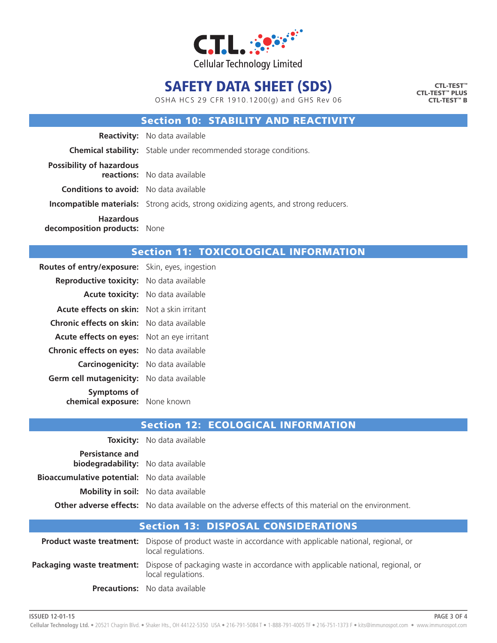

OSHA HCS 29 CFR 1910.1200(g) and GHS Rev 06

CTL-TEST™ CTL-TEST™ PLUS CTL-TEST™ B

### Section 10: STABILITY AND REACTIVITY

|                                                  | <b>Reactivity:</b> No data available                                                       |
|--------------------------------------------------|--------------------------------------------------------------------------------------------|
|                                                  | <b>Chemical stability:</b> Stable under recommended storage conditions.                    |
| <b>Possibility of hazardous</b>                  | <b>reactions:</b> No data available                                                        |
| <b>Conditions to avoid:</b> No data available    |                                                                                            |
|                                                  | <b>Incompatible materials:</b> Strong acids, strong oxidizing agents, and strong reducers. |
| <b>Hazardous</b><br>decomposition products: None |                                                                                            |

### Section 11: TOXICOLOGICAL INFORMATION

| <b>Routes of entry/exposure:</b> Skin, eyes, ingestion |                                          |
|--------------------------------------------------------|------------------------------------------|
| Reproductive toxicity: No data available               |                                          |
|                                                        | <b>Acute toxicity:</b> No data available |
| <b>Acute effects on skin:</b> Not a skin irritant      |                                          |
| <b>Chronic effects on skin:</b> No data available      |                                          |
| <b>Acute effects on eyes:</b> Not an eye irritant      |                                          |
| <b>Chronic effects on eyes:</b> No data available      |                                          |
| <b>Carcinogenicity:</b> No data available              |                                          |
| Germ cell mutagenicity: No data available              |                                          |
| <b>Symptoms of</b><br>chemical exposure: None known    |                                          |

|                                                                      | <b>Toxicity:</b> No data available                                                                          |
|----------------------------------------------------------------------|-------------------------------------------------------------------------------------------------------------|
| <b>Persistance and</b><br><b>biodegradability:</b> No data available |                                                                                                             |
| <b>Bioaccumulative potential:</b> No data available                  |                                                                                                             |
|                                                                      | <b>Mobility in soil:</b> No data available                                                                  |
|                                                                      | <b>Other adverse effects:</b> No data available on the adverse effects of this material on the environment. |

| <b>Section 13: DISPOSAL CONSIDERATIONS</b>                                                                                          |
|-------------------------------------------------------------------------------------------------------------------------------------|
| <b>Product waste treatment:</b> Dispose of product waste in accordance with applicable national, regional, or<br>local regulations. |
| Packaging waste treatment: Dispose of packaging waste in accordance with applicable national, regional, or<br>local regulations.    |
| <b>Precautions:</b> No data available                                                                                               |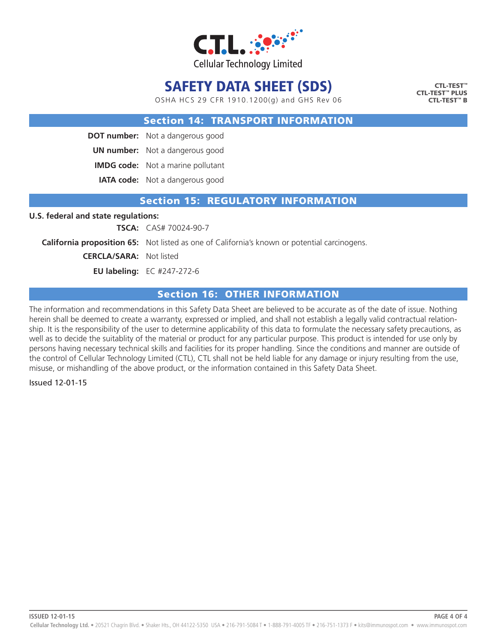

OSHA HCS 29 CFR 1910.1200(g) and GHS Rev 06

CTL-TEST™ CTL-TEST™ PLUS CTL-TEST™ B

#### Section 14: TRANSPORT INFORMATION

**DOT number:** Not a dangerous good

**UN number:** Not a dangerous good

**IMDG code:** Not a marine pollutant

**IATA code:** Not a dangerous good

#### Section 15: REGULATORY INFORMATION

#### **U.S. federal and state regulations:**

**TSCA:** CAS# 70024-90-7

**California proposition 65:** Not listed as one of California's known or potential carcinogens.

**CERCLA/SARA:** Not listed

**EU labeling:** EC #247-272-6

### Section 16: OTHER INFORMATION

The information and recommendations in this Safety Data Sheet are believed to be accurate as of the date of issue. Nothing herein shall be deemed to create a warranty, expressed or implied, and shall not establish a legally valid contractual relationship. It is the responsibility of the user to determine applicability of this data to formulate the necessary safety precautions, as well as to decide the suitablity of the material or product for any particular purpose. This product is intended for use only by persons having necessary technical skills and facilities for its proper handling. Since the conditions and manner are outside of the control of Cellular Technology Limited (CTL), CTL shall not be held liable for any damage or injury resulting from the use, misuse, or mishandling of the above product, or the information contained in this Safety Data Sheet.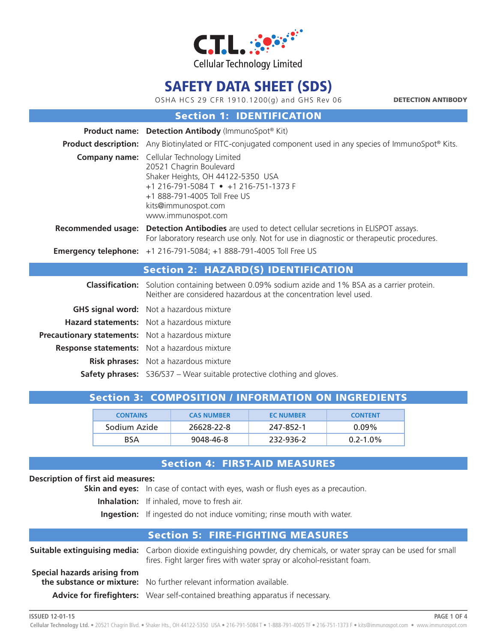

OSHA HCS 29 CFR 1910.1200(g) and GHS Rev 06

DETECTION ANTIBODY

### Section 1: IDENTIFICATION

|                                                   | <b>Product name: Detection Antibody (ImmunoSpot® Kit)</b>                                                                                                                                                                              |
|---------------------------------------------------|----------------------------------------------------------------------------------------------------------------------------------------------------------------------------------------------------------------------------------------|
|                                                   | <b>Product description:</b> Any Biotinylated or FITC-conjugated component used in any species of ImmunoSpot® Kits.                                                                                                                     |
|                                                   | <b>Company name:</b> Cellular Technology Limited<br>20521 Chagrin Boulevard<br>Shaker Heights, OH 44122-5350 USA<br>+1 216-791-5084 T • +1 216-751-1373 F<br>+1 888-791-4005 Toll Free US<br>kits@immunospot.com<br>www.immunospot.com |
| <b>Recommended usage:</b>                         | <b>Detection Antibodies</b> are used to detect cellular secretions in ELISPOT assays.<br>For laboratory research use only. Not for use in diagnostic or therapeutic procedures.                                                        |
|                                                   | <b>Emergency telephone:</b> +1 216-791-5084; +1 888-791-4005 Toll Free US                                                                                                                                                              |
|                                                   | <b>Section 2: HAZARD(S) IDENTIFICATION</b>                                                                                                                                                                                             |
|                                                   | <b>Classification:</b> Solution containing between 0.09% sodium azide and 1% BSA as a carrier protein.<br>Neither are considered hazardous at the concentration level used.                                                            |
|                                                   | <b>GHS signal word:</b> Not a hazardous mixture                                                                                                                                                                                        |
|                                                   | <b>Hazard statements:</b> Not a hazardous mixture                                                                                                                                                                                      |
| Precautionary statements: Not a hazardous mixture |                                                                                                                                                                                                                                        |
|                                                   | <b>Response statements:</b> Not a hazardous mixture                                                                                                                                                                                    |
|                                                   | Risk phrases: Not a hazardous mixture                                                                                                                                                                                                  |

**Safety phrases:** S36/S37 – Wear suitable protective clothing and gloves.

## Section 3: COMPOSITION / INFORMATION ON INGREDIENTS

| <b>CONTAINS</b> | <b>CAS NUMBER</b> | <b>EC NUMBER</b> | <b>CONTENT</b> |
|-----------------|-------------------|------------------|----------------|
| Sodium Azide    | 26628-22-8        | 247-852-1        | $0.09\%$       |
| <b>BSA</b>      | 9048-46-8         | 232-936-2        | $0.2 - 1.0\%$  |

### Section 4: FIRST-AID MEASURES

#### **Description of first aid measures:**

**Skin and eyes:** In case of contact with eyes, wash or flush eyes as a precaution.

**Inhalation:** If inhaled, move to fresh air.

**Ingestion:** If ingested do not induce vomiting; rinse mouth with water.

### Section 5: FIRE-FIGHTING MEASURES

|                              | <b>Suitable extinguising media:</b> Carbon dioxide extinguishing powder, dry chemicals, or water spray can be used for small<br>fires. Fight larger fires with water spray or alcohol-resistant foam. |
|------------------------------|-------------------------------------------------------------------------------------------------------------------------------------------------------------------------------------------------------|
| Special hazards arising from |                                                                                                                                                                                                       |
|                              | the substance or mixture: No further relevant information available.                                                                                                                                  |
|                              | Advice for firefighters: Wear self-contained breathing apparatus if necessary.                                                                                                                        |

**ISSUED 12-01-15**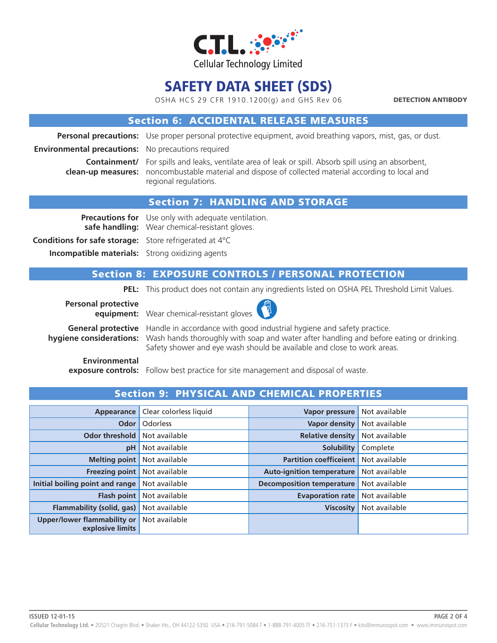

OSHA HCS 29 CFR 1910.1200(g) and GHS Rev 06

DETECTION ANTIBODY

### Section 6: ACCIDENTAL RELEASE MEASURES

**Personal precautions:** Use proper personal protective equipment, avoid breathing vapors, mist, gas, or dust.

**Environmental precautions:** No precautions required

**Containment/** For spills and leaks, ventilate area of leak or spill. Absorb spill using an absorbent, **clean-up measures:** noncombustable material and dispose of collected material according to local and regional regulations.

### Section 7: HANDLING AND STORAGE

**Precautions for** Use only with adequate ventilation. **safe handling:** Wear chemical-resistant gloves. **Conditions for safe storage:** Store refrigerated at 4°C **Incompatible materials:** Strong oxidizing agents

### Section 8: EXPOSURE CONTROLS / PERSONAL PROTECTION

**PEL:** This product does not contain any ingredients listed on OSHA PEL Threshold Limit Values.

**Personal protective** 



**equipment:** Wear chemical-resistant gloves

**General protective** Handle in accordance with good industrial hygiene and safety practice. **hygiene considerations:** Wash hands thoroughly with soap and water after handling and before eating or drinking. Safety shower and eye wash should be available and close to work areas.

**Environmental**

**exposure controls:** Follow best practice for site management and disposal of waste.

| Appearance                                             | Clear colorless liquid | Vapor pressure                   | Not available |
|--------------------------------------------------------|------------------------|----------------------------------|---------------|
| Odor                                                   | Odorless               | <b>Vapor density</b>             | Not available |
| <b>Odor threshold</b>                                  | Not available          | <b>Relative density</b>          | Not available |
| pH                                                     | Not available          | <b>Solubility</b>                | Complete      |
| <b>Melting point</b>                                   | Not available          | <b>Partition coefficeient</b>    | Not available |
| <b>Freezing point</b>                                  | Not available          | <b>Auto-ignition temperature</b> | Not available |
| Initial boiling point and range                        | Not available          | <b>Decomposition temperature</b> | Not available |
| <b>Flash point</b>                                     | Not available          | <b>Evaporation rate</b>          | Not available |
| Flammability (solid, gas)                              | Not available          | <b>Viscosity</b>                 | Not available |
| <b>Upper/lower flammability or</b><br>explosive limits | Not available          |                                  |               |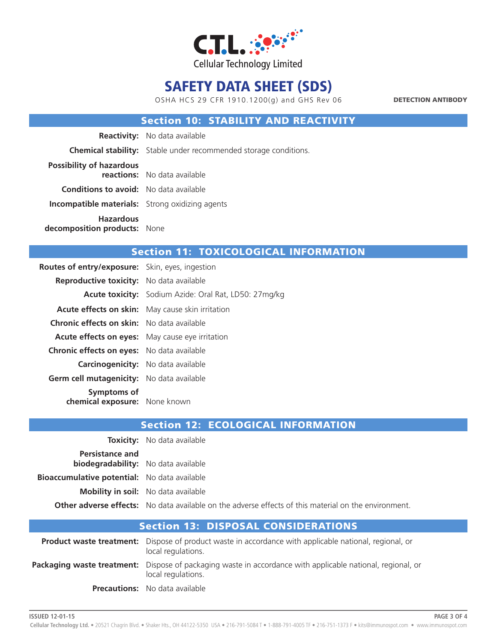

OSHA HCS 29 CFR 1910.1200(g) and GHS Rev 06

DETECTION ANTIBODY

### Section 10: STABILITY AND REACTIVITY

|                                                        | <b>Reactivity:</b> No data available                                    |
|--------------------------------------------------------|-------------------------------------------------------------------------|
|                                                        | <b>Chemical stability:</b> Stable under recommended storage conditions. |
| <b>Possibility of hazardous</b>                        | reactions: No data available                                            |
| <b>Conditions to avoid:</b> No data available          |                                                                         |
| <b>Incompatible materials:</b> Strong oxidizing agents |                                                                         |
| <b>Hazardous</b><br>decomposition products: None       |                                                                         |

### Section 11: TOXICOLOGICAL INFORMATION

| <b>Routes of entry/exposure:</b> Skin, eyes, ingestion |                                                         |
|--------------------------------------------------------|---------------------------------------------------------|
| <b>Reproductive toxicity:</b> No data available        |                                                         |
|                                                        | Acute toxicity: Sodium Azide: Oral Rat, LD50: 27mg/kg   |
|                                                        | <b>Acute effects on skin:</b> May cause skin irritation |
| <b>Chronic effects on skin:</b> No data available      |                                                         |
| <b>Acute effects on eyes:</b> May cause eye irritation |                                                         |
| <b>Chronic effects on eyes:</b> No data available      |                                                         |
| <b>Carcinogenicity:</b> No data available              |                                                         |
| Germ cell mutagenicity: No data available              |                                                         |
| Symptoms of<br>chemical exposure: None known           |                                                         |

|                                                                      | <b>Toxicity:</b> No data available                                                                          |
|----------------------------------------------------------------------|-------------------------------------------------------------------------------------------------------------|
| <b>Persistance and</b><br><b>biodegradability:</b> No data available |                                                                                                             |
| <b>Bioaccumulative potential:</b> No data available                  |                                                                                                             |
|                                                                      | <b>Mobility in soil:</b> No data available                                                                  |
|                                                                      | <b>Other adverse effects:</b> No data available on the adverse effects of this material on the environment. |

| <b>Section 13: DISPOSAL CONSIDERATIONS</b>                                                                                              |
|-----------------------------------------------------------------------------------------------------------------------------------------|
| <b>Product waste treatment:</b> Dispose of product waste in accordance with applicable national, regional, or<br>local regulations.     |
| <b>Packaging waste treatment:</b> Dispose of packaging waste in accordance with applicable national, regional, or<br>local regulations. |
| <b>Precautions:</b> No data available                                                                                                   |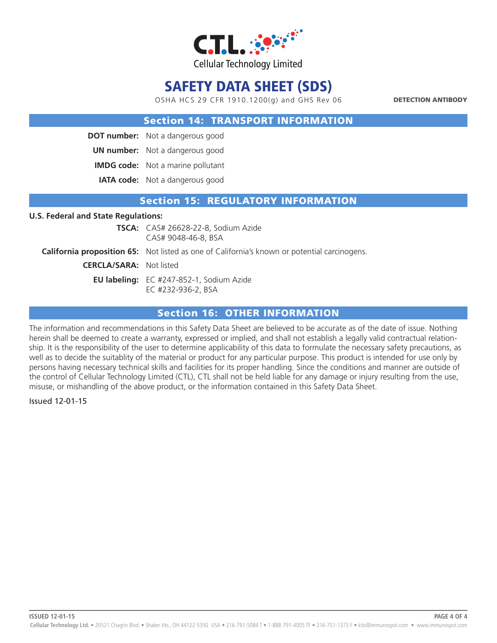

OSHA HCS 29 CFR 1910.1200(g) and GHS Rev 06

DETECTION ANTIBODY

#### Section 14: TRANSPORT INFORMATION

**DOT number:** Not a dangerous good

**UN number:** Not a dangerous good

**IMDG code:** Not a marine pollutant

**IATA code:** Not a dangerous good

### Section 15: REGULATORY INFORMATION

#### **U.S. Federal and State Regulations:**

**TSCA:** CAS# 26628-22-8, Sodium Azide CAS# 9048-46-8, BSA **California proposition 65:** Not listed as one of California's known or potential carcinogens. **CERCLA/SARA:** Not listed **EU labeling:** EC #247-852-1, Sodium Azide EC #232-936-2, BSA

### Section 16: OTHER INFORMATION

The information and recommendations in this Safety Data Sheet are believed to be accurate as of the date of issue. Nothing herein shall be deemed to create a warranty, expressed or implied, and shall not establish a legally valid contractual relationship. It is the responsibility of the user to determine applicability of this data to formulate the necessary safety precautions, as well as to decide the suitablity of the material or product for any particular purpose. This product is intended for use only by persons having necessary technical skills and facilities for its proper handling. Since the conditions and manner are outside of the control of Cellular Technology Limited (CTL), CTL shall not be held liable for any damage or injury resulting from the use, misuse, or mishandling of the above product, or the information contained in this Safety Data Sheet.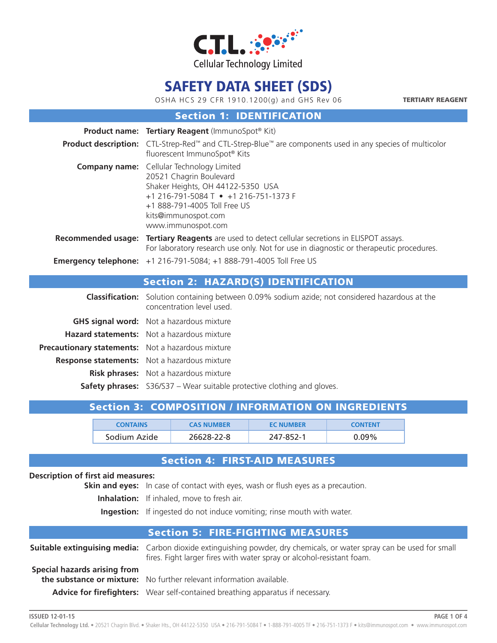

OSHA HCS 29 CFR 1910.1200(g) and GHS Rev 06

TERTIARY REAGENT

**PAGE 1 OF 4**

### Section 1: IDENTIFICATION

|                                                   | <b>Product name: Tertiary Reagent (ImmunoSpot® Kit)</b>                                                                                                                                                                                |
|---------------------------------------------------|----------------------------------------------------------------------------------------------------------------------------------------------------------------------------------------------------------------------------------------|
|                                                   | <b>Product description:</b> CTL-Strep-Red <sup>™</sup> and CTL-Strep-Blue™ are components used in any species of multicolor<br>fluorescent ImmunoSpot® Kits                                                                            |
|                                                   | <b>Company name:</b> Cellular Technology Limited<br>20521 Chagrin Boulevard<br>Shaker Heights, OH 44122-5350 USA<br>+1 216-791-5084 T • +1 216-751-1373 F<br>+1 888-791-4005 Toll Free US<br>kits@immunospot.com<br>www.immunospot.com |
|                                                   | <b>Recommended usage: Tertiary Reagents</b> are used to detect cellular secretions in ELISPOT assays.<br>For laboratory research use only. Not for use in diagnostic or therapeutic procedures.                                        |
|                                                   | <b>Emergency telephone:</b> +1 216-791-5084; +1 888-791-4005 Toll Free US                                                                                                                                                              |
|                                                   | <b>Section 2: HAZARD(S) IDENTIFICATION</b>                                                                                                                                                                                             |
|                                                   | <b>Classification:</b> Solution containing between 0.09% sodium azide; not considered hazardous at the<br>concentration level used.                                                                                                    |
|                                                   | <b>GHS signal word:</b> Not a hazardous mixture                                                                                                                                                                                        |
|                                                   | <b>Hazard statements:</b> Not a hazardous mixture                                                                                                                                                                                      |
| Precautionary statements: Not a hazardous mixture |                                                                                                                                                                                                                                        |
|                                                   | <b>Response statements:</b> Not a hazardous mixture                                                                                                                                                                                    |

 **Risk phrases:** Not a hazardous mixture

**Safety phrases:** S36/S37 – Wear suitable protective clothing and gloves.

## Section 3: COMPOSITION / INFORMATION ON INGREDIENTS

| <b>CONTAINS</b> | <b>CAS NUMBER</b> | <b>EC NUMBER</b> | <b>CONTENT</b> |
|-----------------|-------------------|------------------|----------------|
| Sodium Azide    | 26628-22-8        | 247-852-1        | ን 09%          |

## Section 4: FIRST-AID MEASURES

#### **Description of first aid measures:**

**Skin and eyes:** In case of contact with eyes, wash or flush eyes as a precaution.

**Inhalation:** If inhaled, move to fresh air.

**Ingestion:** If ingested do not induce vomiting; rinse mouth with water.

### Section 5: FIRE-FIGHTING MEASURES

|                              | <b>Suitable extinguising media:</b> Carbon dioxide extinguishing powder, dry chemicals, or water spray can be used for small<br>fires. Fight larger fires with water spray or alcohol-resistant foam. |
|------------------------------|-------------------------------------------------------------------------------------------------------------------------------------------------------------------------------------------------------|
| Special hazards arising from | <b>the substance or mixture:</b> No further relevant information available.                                                                                                                           |
|                              | Advice for firefighters: Wear self-contained breathing apparatus if necessary.                                                                                                                        |

**ISSUED 12-01-15**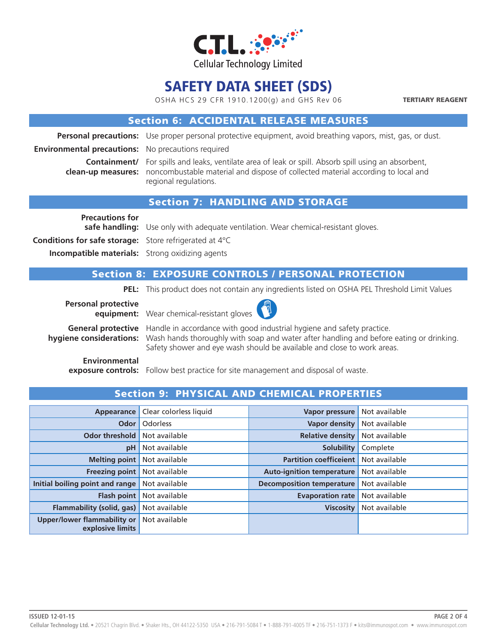

OSHA HCS 29 CFR 1910.1200(g) and GHS Rev 06

TERTIARY REAGENT

### Section 6: ACCIDENTAL RELEASE MEASURES

**Personal precautions:** Use proper personal protective equipment, avoid breathing vapors, mist, gas, or dust.

**Environmental precautions:** No precautions required

**Containment/** For spills and leaks, ventilate area of leak or spill. Absorb spill using an absorbent, **clean-up measures:** noncombustable material and dispose of collected material according to local and regional regulations.

### Section 7: HANDLING AND STORAGE

**Precautions for** 

**safe handling:** Use only with adequate ventilation. Wear chemical-resistant gloves.

**Conditions for safe storage:** Store refrigerated at 4°C

**Incompatible materials:** Strong oxidizing agents

### Section 8: EXPOSURE CONTROLS / PERSONAL PROTECTION

**PEL:** This product does not contain any ingredients listed on OSHA PEL Threshold Limit Values

**Personal protective equipment:** Wear chemical-resistant gloves



**General protective** Handle in accordance with good industrial hygiene and safety practice. **hygiene considerations:** Wash hands thoroughly with soap and water after handling and before eating or drinking. Safety shower and eye wash should be available and close to work areas.

**Environmental**

**exposure controls:** Follow best practice for site management and disposal of waste.

| Appearance                                             | Clear colorless liquid | Vapor pressure                   | Not available |
|--------------------------------------------------------|------------------------|----------------------------------|---------------|
| Odor                                                   | Odorless               | <b>Vapor density</b>             | Not available |
| <b>Odor threshold</b>                                  | Not available          | <b>Relative density</b>          | Not available |
| pH                                                     | Not available          | <b>Solubility</b>                | Complete      |
| <b>Melting point</b>                                   | Not available          | <b>Partition coefficeient</b>    | Not available |
| <b>Freezing point</b>                                  | Not available          | <b>Auto-ignition temperature</b> | Not available |
| Initial boiling point and range                        | Not available          | <b>Decomposition temperature</b> | Not available |
| <b>Flash point</b>                                     | Not available          | <b>Evaporation rate</b>          | Not available |
| Flammability (solid, gas)                              | Not available          | <b>Viscosity</b>                 | Not available |
| <b>Upper/lower flammability or</b><br>explosive limits | Not available          |                                  |               |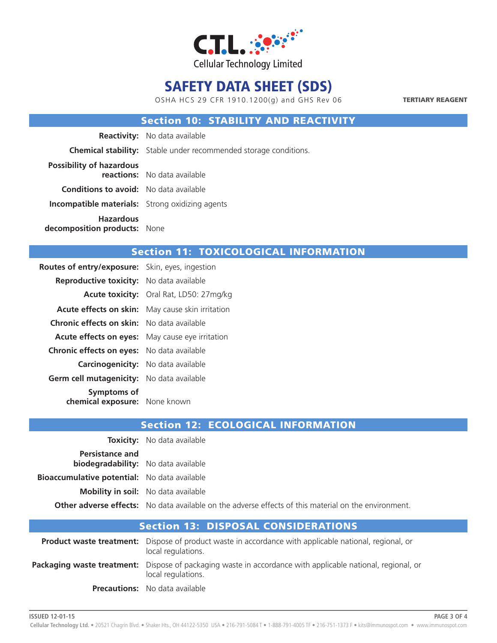

OSHA HCS 29 CFR 1910.1200(g) and GHS Rev 06

TERTIARY REAGENT

### Section 10: STABILITY AND REACTIVITY

|                                                        | <b>Reactivity:</b> No data available                                    |
|--------------------------------------------------------|-------------------------------------------------------------------------|
|                                                        | <b>Chemical stability:</b> Stable under recommended storage conditions. |
| <b>Possibility of hazardous</b>                        | reactions: No data available                                            |
| <b>Conditions to avoid:</b> No data available          |                                                                         |
| <b>Incompatible materials:</b> Strong oxidizing agents |                                                                         |
| <b>Hazardous</b><br>decomposition products: None       |                                                                         |

### Section 11: TOXICOLOGICAL INFORMATION

| Reproductive toxicity: No data available                   |  |
|------------------------------------------------------------|--|
| Acute toxicity: Oral Rat, LD50: 27mg/kg                    |  |
| Acute effects on skin:<br>May cause skin irritation        |  |
| <b>Chronic effects on skin:</b> No data available          |  |
| Acute effects on eyes:<br>May cause eye irritation         |  |
| <b>Chronic effects on eyes:</b> No data available          |  |
| <b>Carcinogenicity:</b> No data available                  |  |
| Germ cell mutagenicity:<br>No data available               |  |
| <b>Symptoms of</b><br><b>chemical exposure:</b> None known |  |

|                                                                      | <b>Toxicity:</b> No data available                                                                          |
|----------------------------------------------------------------------|-------------------------------------------------------------------------------------------------------------|
| <b>Persistance and</b><br><b>biodegradability:</b> No data available |                                                                                                             |
| <b>Bioaccumulative potential:</b> No data available                  |                                                                                                             |
|                                                                      | <b>Mobility in soil:</b> No data available                                                                  |
|                                                                      | <b>Other adverse effects:</b> No data available on the adverse effects of this material on the environment. |

| <b>Section 13: DISPOSAL CONSIDERATIONS</b> |                                                                                                                                         |  |
|--------------------------------------------|-----------------------------------------------------------------------------------------------------------------------------------------|--|
|                                            | <b>Product waste treatment:</b> Dispose of product waste in accordance with applicable national, regional, or<br>local regulations.     |  |
|                                            | <b>Packaging waste treatment:</b> Dispose of packaging waste in accordance with applicable national, regional, or<br>local regulations. |  |
|                                            | <b>Precautions:</b> No data available                                                                                                   |  |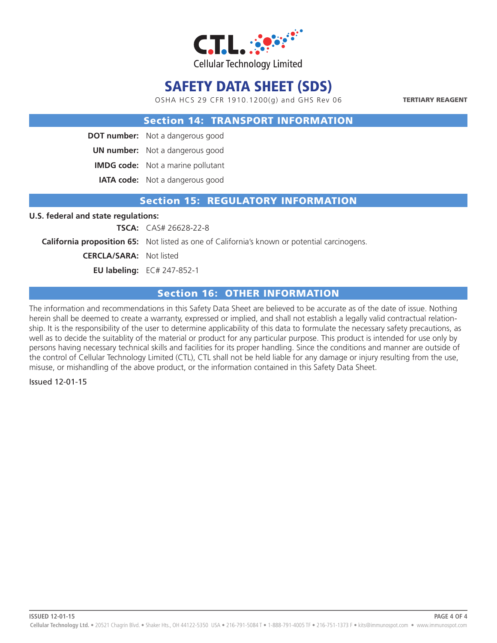

OSHA HCS 29 CFR 1910.1200(g) and GHS Rev 06

TERTIARY REAGENT

#### Section 14: TRANSPORT INFORMATION

**DOT number:** Not a dangerous good

**UN number:** Not a dangerous good

**IMDG code:** Not a marine pollutant

**IATA code:** Not a dangerous good

#### Section 15: REGULATORY INFORMATION

#### **U.S. federal and state regulations:**

**TSCA:** CAS# 26628-22-8

**California proposition 65:** Not listed as one of California's known or potential carcinogens.

**CERCLA/SARA:** Not listed

**EU labeling:** EC# 247-852-1

### Section 16: OTHER INFORMATION

The information and recommendations in this Safety Data Sheet are believed to be accurate as of the date of issue. Nothing herein shall be deemed to create a warranty, expressed or implied, and shall not establish a legally valid contractual relationship. It is the responsibility of the user to determine applicability of this data to formulate the necessary safety precautions, as well as to decide the suitablity of the material or product for any particular purpose. This product is intended for use only by persons having necessary technical skills and facilities for its proper handling. Since the conditions and manner are outside of the control of Cellular Technology Limited (CTL), CTL shall not be held liable for any damage or injury resulting from the use, misuse, or mishandling of the above product, or the information contained in this Safety Data Sheet.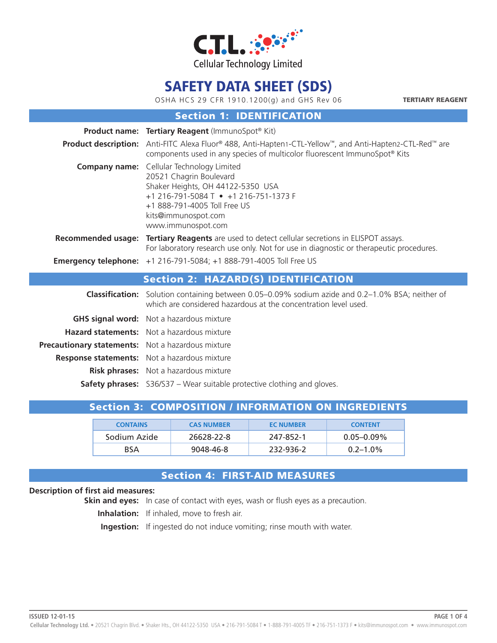

OSHA HCS 29 CFR 1910.1200(g) and GHS Rev 06

TERTIARY REAGENT

### Section 1: IDENTIFICATION

|                                                   | <b>Product name: Tertiary Reagent (ImmunoSpot® Kit)</b>                                                                                                                                                                                                                                                                                                                                                                                                                                 |
|---------------------------------------------------|-----------------------------------------------------------------------------------------------------------------------------------------------------------------------------------------------------------------------------------------------------------------------------------------------------------------------------------------------------------------------------------------------------------------------------------------------------------------------------------------|
|                                                   | <b>Product description:</b> Anti-FITC Alexa Fluor® 488, Anti-Hapten1-CTL-Yellow™, and Anti-Hapten2-CTL-Red™ are<br>components used in any species of multicolor fluorescent ImmunoSpot® Kits                                                                                                                                                                                                                                                                                            |
|                                                   | <b>Company name:</b> Cellular Technology Limited<br>20521 Chagrin Boulevard<br>Shaker Heights, OH 44122-5350 USA<br>+1 216-791-5084 T • +1 216-751-1373 F<br>+1 888-791-4005 Toll Free US<br>kits@immunospot.com<br>www.immunospot.com                                                                                                                                                                                                                                                  |
|                                                   | Recommended usage: Tertiary Reagents are used to detect cellular secretions in ELISPOT assays.<br>For laboratory research use only. Not for use in diagnostic or therapeutic procedures.                                                                                                                                                                                                                                                                                                |
|                                                   | <b>Emergency telephone:</b> +1 216-791-5084; +1 888-791-4005 Toll Free US                                                                                                                                                                                                                                                                                                                                                                                                               |
|                                                   | <b>Section 2: HAZARD(S) IDENTIFICATION</b>                                                                                                                                                                                                                                                                                                                                                                                                                                              |
|                                                   | <b>Classification:</b> Solution containing between 0.05–0.09% sodium azide and 0.2–1.0% BSA; neither of<br>which are considered hazardous at the concentration level used.                                                                                                                                                                                                                                                                                                              |
|                                                   | <b>GHS signal word:</b> Not a hazardous mixture                                                                                                                                                                                                                                                                                                                                                                                                                                         |
|                                                   | <b>Hazard statements:</b> Not a hazardous mixture                                                                                                                                                                                                                                                                                                                                                                                                                                       |
| Precautionary statements: Not a hazardous mixture |                                                                                                                                                                                                                                                                                                                                                                                                                                                                                         |
|                                                   | <b>Response statements:</b> Not a hazardous mixture                                                                                                                                                                                                                                                                                                                                                                                                                                     |
|                                                   | <b>Risk phrases:</b> Not a hazardous mixture                                                                                                                                                                                                                                                                                                                                                                                                                                            |
|                                                   | $\epsilon$ , $\epsilon$ , and $\epsilon$ , $\epsilon$ , $\epsilon$ , $\epsilon$ , $\epsilon$ , $\epsilon$ , $\epsilon$ , $\epsilon$ , $\epsilon$ , $\epsilon$ , $\epsilon$ , $\epsilon$ , $\epsilon$ , $\epsilon$ , $\epsilon$ , $\epsilon$ , $\epsilon$ , $\epsilon$ , $\epsilon$ , $\epsilon$ , $\epsilon$ , $\epsilon$ , $\epsilon$ , $\epsilon$ , $\epsilon$ , $\epsilon$ , $\epsilon$ , $\epsilon$ , $\epsilon$ , $\epsilon$ , $\epsilon$ , $\epsilon$ , $\epsilon$ , $\epsilon$ , |

**Safety phrases:** S36/S37 – Wear suitable protective clothing and gloves.

## Section 3: COMPOSITION / INFORMATION ON INGREDIENTS

| <b>CONTAINS</b> | <b>CAS NUMBER</b> | <b>EC NUMBER</b> | <b>CONTENT</b>  |
|-----------------|-------------------|------------------|-----------------|
| Sodium Azide    | 26628-22-8        | 247-852-1        | $0.05 - 0.09\%$ |
| <b>BSA</b>      | 9048-46-8         | 232-936-2        | $0.2 - 1.0\%$   |

## Section 4: FIRST-AID MEASURES

#### **Description of first aid measures:**

**Skin and eyes:** In case of contact with eyes, wash or flush eyes as a precaution.

**Inhalation:** If inhaled, move to fresh air.

**Ingestion:** If ingested do not induce vomiting; rinse mouth with water.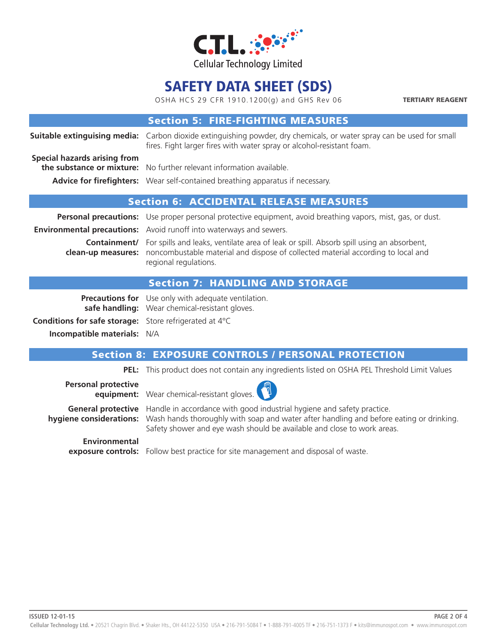

OSHA HCS 29 CFR 1910.1200(g) and GHS Rev 06

TERTIARY REAGENT

|                                               | <b>Section 5: FIRE-FIGHTING MEASURES</b>                                                                                                                                                                                                           |  |  |
|-----------------------------------------------|----------------------------------------------------------------------------------------------------------------------------------------------------------------------------------------------------------------------------------------------------|--|--|
|                                               | <b>Suitable extinguising media:</b> Carbon dioxide extinguishing powder, dry chemicals, or water spray can be used for small<br>fires. Fight larger fires with water spray or alcohol-resistant foam.                                              |  |  |
| Special hazards arising from                  | the substance or mixture: No further relevant information available.<br>Advice for firefighters: Wear self-contained breathing apparatus if necessary.                                                                                             |  |  |
| <b>Section 6: ACCIDENTAL RELEASE MEASURES</b> |                                                                                                                                                                                                                                                    |  |  |
|                                               | Personal precautions: Use proper personal protective equipment, avoid breathing vapors, mist, gas, or dust.                                                                                                                                        |  |  |
|                                               | <b>Environmental precautions:</b> Avoid runoff into waterways and sewers.                                                                                                                                                                          |  |  |
|                                               | <b>Containment/</b> For spills and leaks, ventilate area of leak or spill. Absorb spill using an absorbent,<br><b>clean-up measures:</b> noncombustable material and dispose of collected material according to local and<br>regional regulations. |  |  |
|                                               |                                                                                                                                                                                                                                                    |  |  |

### Section 7: HANDLING AND STORAGE

**Precautions for** Use only with adequate ventilation. **safe handling:** Wear chemical-resistant gloves.

**Conditions for safe storage:** Store refrigerated at 4°C **Incompatible materials:** N/A

### Section 8: EXPOSURE CONTROLS / PERSONAL PROTECTION

**PEL:** This product does not contain any ingredients listed on OSHA PEL Threshold Limit Values

**Personal protective equipment:** Wear chemical-resistant gloves.

**General protective** Handle in accordance with good industrial hygiene and safety practice. **hygiene considerations:** Wash hands thoroughly with soap and water after handling and before eating or drinking. Safety shower and eye wash should be available and close to work areas.

# **Environmental**

**exposure controls:** Follow best practice for site management and disposal of waste.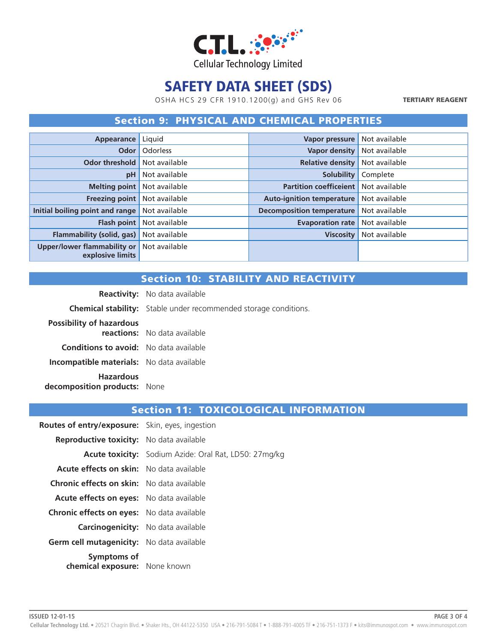

OSHA HCS 29 CFR 1910.1200(g) and GHS Rev 06

TERTIARY REAGENT

### Section 9: PHYSICAL AND CHEMICAL PROPERTIES

| Appearance                                             | Liquid          | Vapor pressure                   | Not available |
|--------------------------------------------------------|-----------------|----------------------------------|---------------|
| Odor                                                   | <b>Odorless</b> | <b>Vapor density</b>             | Not available |
| <b>Odor threshold</b>                                  | Not available   | <b>Relative density</b>          | Not available |
| pH                                                     | Not available   | <b>Solubility</b>                | Complete      |
| <b>Melting point</b>                                   | Not available   | <b>Partition coefficeient</b>    | Not available |
| Freezing point                                         | Not available   | <b>Auto-ignition temperature</b> | Not available |
| Initial boiling point and range                        | Not available   | <b>Decomposition temperature</b> | Not available |
| <b>Flash point</b>                                     | Not available   | <b>Evaporation rate</b>          | Not available |
| Flammability (solid, gas)                              | Not available   | <b>Viscosity</b>                 | Not available |
| <b>Upper/lower flammability or</b><br>explosive limits | Not available   |                                  |               |

## Section 10: STABILITY AND REACTIVITY

**Reactivity:** No data available **Chemical stability:** Stable under recommended storage conditions. **Possibility of hazardous reactions:** No data available **Conditions to avoid:** No data available **Incompatible materials:** No data available **Hazardous decomposition products:** None

| <b>Routes of entry/exposure:</b> Skin, eyes, ingestion |                                                              |
|--------------------------------------------------------|--------------------------------------------------------------|
| <b>Reproductive toxicity:</b> No data available        |                                                              |
|                                                        | <b>Acute toxicity:</b> Sodium Azide: Oral Rat, LD50: 27mg/kg |
| <b>Acute effects on skin:</b> No data available        |                                                              |
| <b>Chronic effects on skin:</b> No data available      |                                                              |
| <b>Acute effects on eyes:</b> No data available        |                                                              |
| <b>Chronic effects on eyes:</b> No data available      |                                                              |
| <b>Carcinogenicity:</b> No data available              |                                                              |
| Germ cell mutagenicity: No data available              |                                                              |
| Symptoms of<br>chemical exposure: None known           |                                                              |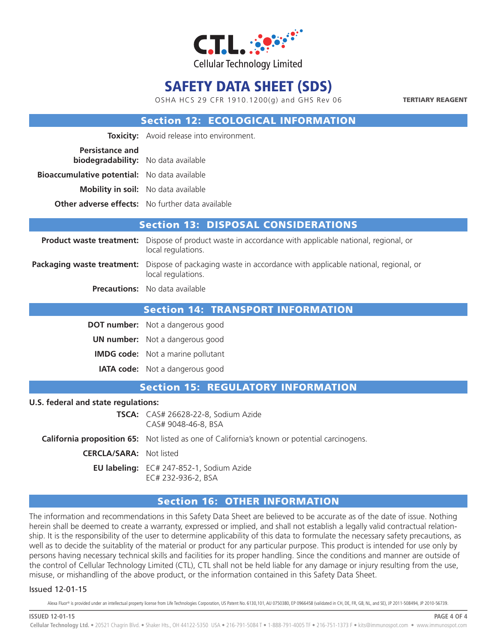

OSHA HCS 29 CFR 1910.1200(g) and GHS Rev 06

TERTIARY REAGENT

### Section 12: ECOLOGICAL INFORMATION

| <b>Toxicity:</b> Avoid release into environment.        |
|---------------------------------------------------------|
| <b>biodegradability:</b> No data available              |
| <b>Bioaccumulative potential:</b> No data available     |
| <b>Mobility in soil:</b> No data available              |
| <b>Other adverse effects:</b> No further data available |
|                                                         |

## Section 13: DISPOSAL CONSIDERATIONS

**Product waste treatment:** Dispose of product waste in accordance with applicable national, regional, or local regulations. **Packaging waste treatment:** Dispose of packaging waste in accordance with applicable national, regional, or

local regulations.

**Precautions:** No data available

#### Section 14: TRANSPORT INFORMATION

**DOT number:** Not a dangerous good

**UN number:** Not a dangerous good

**IMDG code:** Not a marine pollutant

**IATA code:** Not a dangerous good

#### Section 15: REGULATORY INFORMATION

#### **U.S. federal and state regulations:**

|                                | <b>TSCA:</b> CAS# 26628-22-8, Sodium Azide<br>CAS# 9048-46-8, BSA                                   |
|--------------------------------|-----------------------------------------------------------------------------------------------------|
|                                | <b>California proposition 65:</b> Not listed as one of California's known or potential carcinogens. |
| <b>CERCLA/SARA:</b> Not listed |                                                                                                     |
|                                | EU labeling: EC# 247-852-1, Sodium Azide<br>EC# 232-936-2, BSA                                      |

### Section 16: OTHER INFORMATION

The information and recommendations in this Safety Data Sheet are believed to be accurate as of the date of issue. Nothing herein shall be deemed to create a warranty, expressed or implied, and shall not establish a legally valid contractual relationship. It is the responsibility of the user to determine applicability of this data to formulate the necessary safety precautions, as well as to decide the suitablity of the material or product for any particular purpose. This product is intended for use only by persons having necessary technical skills and facilities for its proper handling. Since the conditions and manner are outside of the control of Cellular Technology Limited (CTL), CTL shall not be held liable for any damage or injury resulting from the use, misuse, or mishandling of the above product, or the information contained in this Safety Data Sheet.

#### Issued 12-01-15

Alexa Fluor® is provided under an intellectual property license from Life Technologies Corporation, US Patent No. 6130,101, AU 0750380, EP 0966458 (validated in CH, DE, FR, GB, NL, and SE), JP 2011-508494, JP 2010-56739.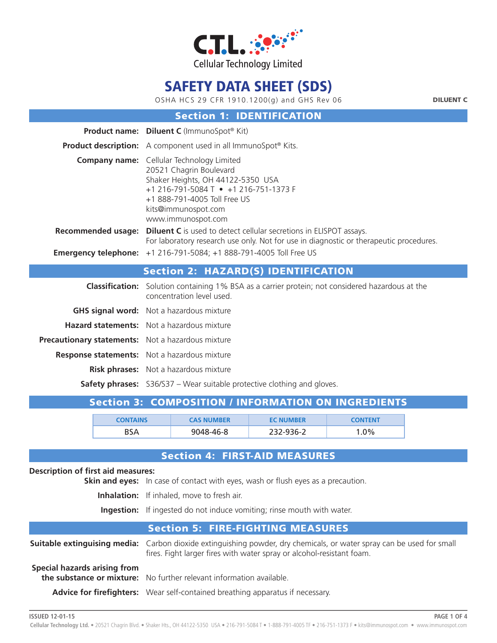

OSHA HCS 29 CFR 1910.1200(g) and GHS Rev 06

DILUENT C

**PAGE 1 OF 4**

#### Section 1: IDENTIFICATION

|                                                          | Product name: Diluent C (ImmunoSpot® Kit)                                                                                                                                                                                              |
|----------------------------------------------------------|----------------------------------------------------------------------------------------------------------------------------------------------------------------------------------------------------------------------------------------|
|                                                          | <b>Product description:</b> A component used in all ImmunoSpot® Kits.                                                                                                                                                                  |
|                                                          | <b>Company name:</b> Cellular Technology Limited<br>20521 Chagrin Boulevard<br>Shaker Heights, OH 44122-5350 USA<br>+1 216-791-5084 T • +1 216-751-1373 F<br>+1 888-791-4005 Toll Free US<br>kits@immunospot.com<br>www.immunospot.com |
|                                                          | <b>Recommended usage:</b> Diluent C is used to detect cellular secretions in ELISPOT assays.<br>For laboratory research use only. Not for use in diagnostic or therapeutic procedures.                                                 |
|                                                          | <b>Emergency telephone:</b> +1 216-791-5084; +1 888-791-4005 Toll Free US                                                                                                                                                              |
|                                                          |                                                                                                                                                                                                                                        |
|                                                          | <b>Section 2: HAZARD(S) IDENTIFICATION</b>                                                                                                                                                                                             |
|                                                          | <b>Classification:</b> Solution containing 1% BSA as a carrier protein; not considered hazardous at the<br>concentration level used.                                                                                                   |
|                                                          | <b>GHS signal word:</b> Not a hazardous mixture                                                                                                                                                                                        |
|                                                          | <b>Hazard statements:</b> Not a hazardous mixture                                                                                                                                                                                      |
| <b>Precautionary statements:</b> Not a hazardous mixture |                                                                                                                                                                                                                                        |
|                                                          | <b>Response statements:</b> Not a hazardous mixture                                                                                                                                                                                    |
|                                                          | <b>Risk phrases:</b> Not a hazardous mixture                                                                                                                                                                                           |

### Section 3: COMPOSITION / INFORMATION ON INGREDIENTS

| <b>CONTAINS</b> | <b>CAS NUMBER</b> | <b>EC NUMBER</b> | <b>CONTENT</b> |
|-----------------|-------------------|------------------|----------------|
| BSA             | 9048-46-8         | 232-936-2        | $.0\%$         |

## Section 4: FIRST-AID MEASURES

## **Description of first aid measures: Skin and eyes:** In case of contact with eyes, wash or flush eyes as a precaution. **Inhalation:** If inhaled, move to fresh air. **Ingestion:** If ingested do not induce vomiting; rinse mouth with water. Section 5: FIRE-FIGHTING MEASURES **Suitable extinguising media:** Carbon dioxide extinguishing powder, dry chemicals, or water spray can be used for small fires. Fight larger fires with water spray or alcohol-resistant foam. **Special hazards arising from the substance or mixture:** No further relevant information available. **Advice for firefighters:** Wear self-contained breathing apparatus if necessary.

**ISSUED 12-01-15**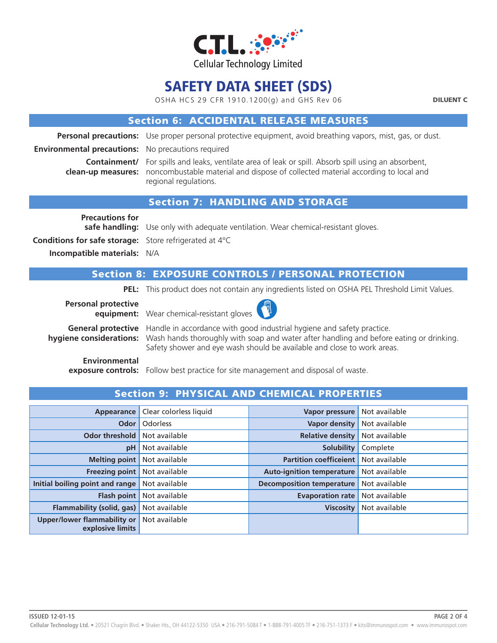

OSHA HCS 29 CFR 1910.1200(g) and GHS Rev 06

DILUENT C

### Section 6: ACCIDENTAL RELEASE MEASURES

**Personal precautions:** Use proper personal protective equipment, avoid breathing vapors, mist, gas, or dust.

**Environmental precautions:** No precautions required

**Containment/** For spills and leaks, ventilate area of leak or spill. Absorb spill using an absorbent, **clean-up measures:** noncombustable material and dispose of collected material according to local and regional regulations.

### Section 7: HANDLING AND STORAGE

**Precautions for Conditions for safe storage:** Store refrigerated at 4°C

**safe handling:** Use only with adequate ventilation. Wear chemical-resistant gloves.

**Incompatible materials:** N/A

### Section 8: EXPOSURE CONTROLS / PERSONAL PROTECTION

**PEL:** This product does not contain any ingredients listed on OSHA PEL Threshold Limit Values.

**Personal protective** 



**equipment:** Wear chemical-resistant gloves

**General protective** Handle in accordance with good industrial hygiene and safety practice. **hygiene considerations:** Wash hands thoroughly with soap and water after handling and before eating or drinking. Safety shower and eye wash should be available and close to work areas.

**Environmental**

**exposure controls:** Follow best practice for site management and disposal of waste.

| Appearance                                             | Clear colorless liquid | Vapor pressure                   | Not available |
|--------------------------------------------------------|------------------------|----------------------------------|---------------|
| Odor                                                   | Odorless               | <b>Vapor density</b>             | Not available |
| <b>Odor threshold</b>                                  | Not available          | <b>Relative density</b>          | Not available |
| pH                                                     | Not available          | <b>Solubility</b>                | Complete      |
| <b>Melting point</b>                                   | Not available          | <b>Partition coefficeient</b>    | Not available |
| <b>Freezing point</b>                                  | Not available          | <b>Auto-ignition temperature</b> | Not available |
| Initial boiling point and range                        | Not available          | <b>Decomposition temperature</b> | Not available |
| <b>Flash point</b>                                     | Not available          | <b>Evaporation rate</b>          | Not available |
| Flammability (solid, gas)                              | Not available          | <b>Viscosity</b>                 | Not available |
| <b>Upper/lower flammability or</b><br>explosive limits | Not available          |                                  |               |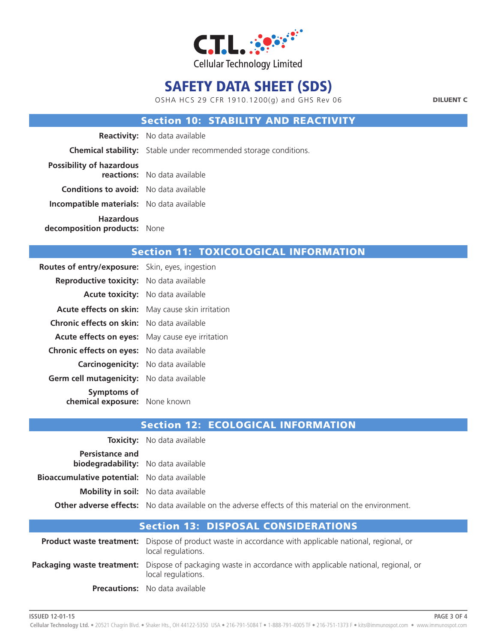

OSHA HCS 29 CFR 1910.1200(g) and GHS Rev 06

DILUENT C

### Section 10: STABILITY AND REACTIVITY

|                                                  | <b>Reactivity:</b> No data available                                    |
|--------------------------------------------------|-------------------------------------------------------------------------|
|                                                  | <b>Chemical stability:</b> Stable under recommended storage conditions. |
| <b>Possibility of hazardous</b>                  | <b>reactions:</b> No data available                                     |
| <b>Conditions to avoid:</b> No data available    |                                                                         |
| <b>Incompatible materials:</b> No data available |                                                                         |
| <b>Hazardous</b><br>decomposition products: None |                                                                         |

### Section 11: TOXICOLOGICAL INFORMATION

| <b>Routes of entry/exposure:</b> Skin, eyes, ingestion |                                                         |
|--------------------------------------------------------|---------------------------------------------------------|
| <b>Reproductive toxicity:</b> No data available        |                                                         |
|                                                        | <b>Acute toxicity:</b> No data available                |
|                                                        | <b>Acute effects on skin:</b> May cause skin irritation |
| <b>Chronic effects on skin:</b> No data available      |                                                         |
| <b>Acute effects on eyes:</b> May cause eye irritation |                                                         |
| <b>Chronic effects on eyes:</b> No data available      |                                                         |
| <b>Carcinogenicity:</b> No data available              |                                                         |
| Germ cell mutagenicity: No data available              |                                                         |
| Symptoms of                                            |                                                         |
| chemical exposure: None known                          |                                                         |

|                                                                      | <b>Toxicity:</b> No data available                                                                          |
|----------------------------------------------------------------------|-------------------------------------------------------------------------------------------------------------|
| <b>Persistance and</b><br><b>biodegradability:</b> No data available |                                                                                                             |
| <b>Bioaccumulative potential:</b> No data available                  |                                                                                                             |
|                                                                      | <b>Mobility in soil:</b> No data available                                                                  |
|                                                                      | <b>Other adverse effects:</b> No data available on the adverse effects of this material on the environment. |

| <b>Section 13: DISPOSAL CONSIDERATIONS</b> |                                                                                                                                     |  |
|--------------------------------------------|-------------------------------------------------------------------------------------------------------------------------------------|--|
|                                            | <b>Product waste treatment:</b> Dispose of product waste in accordance with applicable national, regional, or<br>local regulations. |  |
|                                            | Packaging waste treatment: Dispose of packaging waste in accordance with applicable national, regional, or<br>local regulations.    |  |
|                                            | <b>Precautions:</b> No data available                                                                                               |  |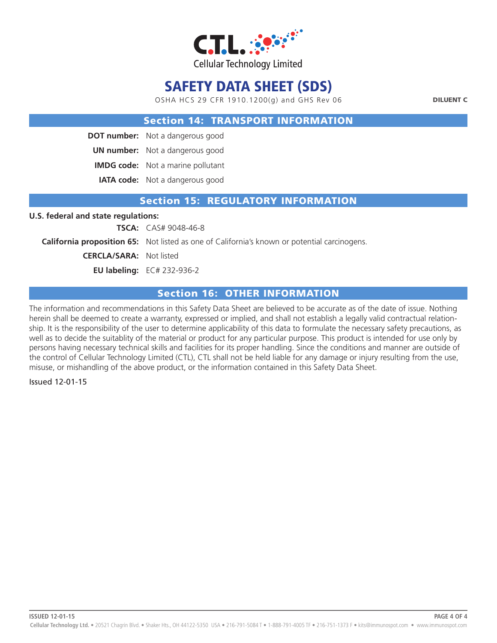

OSHA HCS 29 CFR 1910.1200(g) and GHS Rev 06

DILUENT C

#### Section 14: TRANSPORT INFORMATION

**DOT number:** Not a dangerous good

**UN number:** Not a dangerous good

**IMDG code:** Not a marine pollutant

**IATA code:** Not a dangerous good

#### Section 15: REGULATORY INFORMATION

#### **U.S. federal and state regulations:**

**TSCA:** CAS# 9048-46-8

**California proposition 65:** Not listed as one of California's known or potential carcinogens.

**CERCLA/SARA:** Not listed

**EU labeling:** EC# 232-936-2

### Section 16: OTHER INFORMATION

The information and recommendations in this Safety Data Sheet are believed to be accurate as of the date of issue. Nothing herein shall be deemed to create a warranty, expressed or implied, and shall not establish a legally valid contractual relationship. It is the responsibility of the user to determine applicability of this data to formulate the necessary safety precautions, as well as to decide the suitablity of the material or product for any particular purpose. This product is intended for use only by persons having necessary technical skills and facilities for its proper handling. Since the conditions and manner are outside of the control of Cellular Technology Limited (CTL), CTL shall not be held liable for any damage or injury resulting from the use, misuse, or mishandling of the above product, or the information contained in this Safety Data Sheet.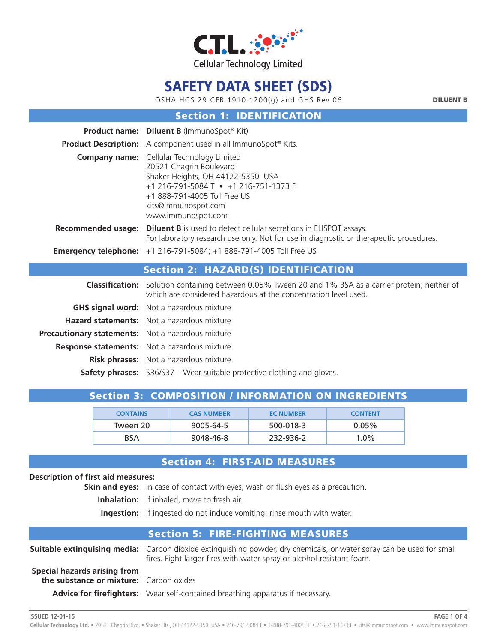

OSHA HCS 29 CFR 1910.1200(g) and GHS Rev 06

DILUENT B

**PAGE 1 OF 4**

#### Section 1: IDENTIFICATION

|                                                   | <b>Product name:</b> Diluent B (ImmunoSpot® Kit)                                                                                                                                                                                       |
|---------------------------------------------------|----------------------------------------------------------------------------------------------------------------------------------------------------------------------------------------------------------------------------------------|
|                                                   | <b>Product Description:</b> A component used in all ImmunoSpot® Kits.                                                                                                                                                                  |
|                                                   | <b>Company name:</b> Cellular Technology Limited<br>20521 Chagrin Boulevard<br>Shaker Heights, OH 44122-5350 USA<br>+1 216-791-5084 T • +1 216-751-1373 F<br>+1 888-791-4005 Toll Free US<br>kits@immunospot.com<br>www.immunospot.com |
|                                                   | <b>Recommended usage: Diluent B</b> is used to detect cellular secretions in ELISPOT assays.<br>For laboratory research use only. Not for use in diagnostic or therapeutic procedures.                                                 |
|                                                   | <b>Emergency telephone:</b> +1 216-791-5084; +1 888-791-4005 Toll Free US                                                                                                                                                              |
|                                                   | <b>Section 2: HAZARD(S) IDENTIFICATION</b>                                                                                                                                                                                             |
|                                                   | <b>Classification:</b> Solution containing between 0.05% Tween 20 and 1% BSA as a carrier protein; neither of<br>which are considered hazardous at the concentration level used.                                                       |
|                                                   | <b>GHS signal word:</b> Not a hazardous mixture                                                                                                                                                                                        |
|                                                   | Hazard statements: Not a hazardous mixture                                                                                                                                                                                             |
| Precautionary statements: Not a hazardous mixture |                                                                                                                                                                                                                                        |
|                                                   | <b>Response statements:</b> Not a hazardous mixture                                                                                                                                                                                    |
|                                                   | <b>Risk phrases:</b> Not a hazardous mixture                                                                                                                                                                                           |
|                                                   | <b>Safety phrases:</b> S36/S37 – Wear suitable protective clothing and gloves.                                                                                                                                                         |

|  | Section 3: COMPOSITION / INFORMATION ON INGREDIENTS |
|--|-----------------------------------------------------|

| <b>CONTAINS</b> | <b>CAS NUMBER</b> | <b>EC NUMBER</b> | <b>CONTENT</b> |
|-----------------|-------------------|------------------|----------------|
| Tween 20        | 9005-64-5         | 500-018-3        | $0.05\%$       |
| <b>BSA</b>      | 9048-46-8         | 232-936-2        | $1.0\%$        |

### Section 4: FIRST-AID MEASURES

#### **Description of first aid measures:**

**Skin and eyes:** In case of contact with eyes, wash or flush eyes as a precaution.

**Inhalation:** If inhaled, move to fresh air.

**Ingestion:** If ingested do not induce vomiting; rinse mouth with water.

### Section 5: FIRE-FIGHTING MEASURES

**Suitable extinguising media:** Carbon dioxide extinguishing powder, dry chemicals, or water spray can be used for small fires. Fight larger fires with water spray or alcohol-resistant foam. **Special hazards arising from the substance or mixture:** Carbon oxides **Advice for firefighters:** Wear self-contained breathing apparatus if necessary.

**ISSUED 12-01-15**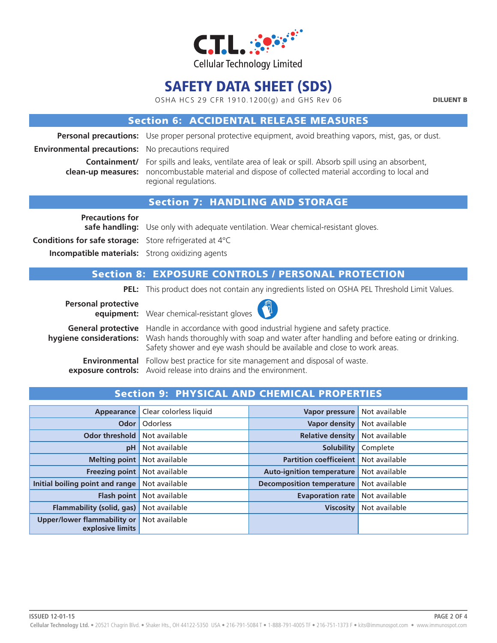

OSHA HCS 29 CFR 1910.1200(g) and GHS Rev 06

DILUENT B

### Section 6: ACCIDENTAL RELEASE MEASURES

**Personal precautions:** Use proper personal protective equipment, avoid breathing vapors, mist, gas, or dust.

**Environmental precautions:** No precautions required

**Containment/** For spills and leaks, ventilate area of leak or spill. Absorb spill using an absorbent, **clean-up measures:** noncombustable material and dispose of collected material according to local and regional regulations.

### Section 7: HANDLING AND STORAGE

**Precautions for** 

**safe handling:** Use only with adequate ventilation. Wear chemical-resistant gloves.

**Conditions for safe storage:** Store refrigerated at 4°C

**Incompatible materials:** Strong oxidizing agents

### Section 8: EXPOSURE CONTROLS / PERSONAL PROTECTION

**PEL:** This product does not contain any ingredients listed on OSHA PEL Threshold Limit Values.

**Personal protective equipment:** Wear chemical-resistant gloves



**General protective** Handle in accordance with good industrial hygiene and safety practice. **hygiene considerations:** Wash hands thoroughly with soap and water after handling and before eating or drinking. Safety shower and eye wash should be available and close to work areas.

**Environmental** Follow best practice for site management and disposal of waste. **exposure controls:** Avoid release into drains and the environment.

| Appearance                                      | Clear colorless liquid | <b>Vapor pressure</b>            | Not available |
|-------------------------------------------------|------------------------|----------------------------------|---------------|
| Odor                                            | <b>Odorless</b>        | <b>Vapor density</b>             | Not available |
| <b>Odor threshold</b>                           | Not available          | <b>Relative density</b>          | Not available |
| pH                                              | Not available          | <b>Solubility</b>                | Complete      |
| <b>Melting point</b>                            | Not available          | <b>Partition coefficeient</b>    | Not available |
| <b>Freezing point</b>                           | Not available          | <b>Auto-ignition temperature</b> | Not available |
| Initial boiling point and range                 | Not available          | <b>Decomposition temperature</b> | Not available |
| <b>Flash point</b>                              | Not available          | <b>Evaporation rate</b>          | Not available |
| <b>Flammability (solid, gas)</b>                | Not available          | <b>Viscosity</b>                 | Not available |
| Upper/lower flammability or<br>explosive limits | Not available          |                                  |               |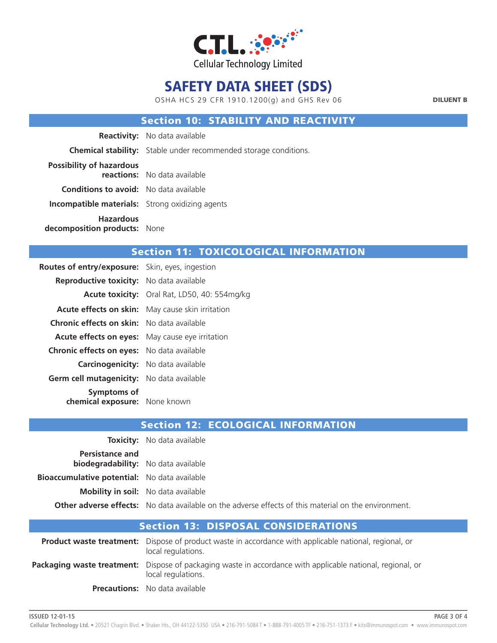

OSHA HCS 29 CFR 1910.1200(g) and GHS Rev 06

DILUENT B

### Section 10: STABILITY AND REACTIVITY

|                                                        | <b>Reactivity:</b> No data available                                    |
|--------------------------------------------------------|-------------------------------------------------------------------------|
|                                                        | <b>Chemical stability:</b> Stable under recommended storage conditions. |
| <b>Possibility of hazardous</b>                        | reactions: No data available                                            |
| <b>Conditions to avoid:</b> No data available          |                                                                         |
| <b>Incompatible materials:</b> Strong oxidizing agents |                                                                         |
| <b>Hazardous</b><br>decomposition products: None       |                                                                         |

### Section 11: TOXICOLOGICAL INFORMATION

| <b>Routes of entry/exposure:</b> Skin, eyes, ingestion |                                                         |
|--------------------------------------------------------|---------------------------------------------------------|
| <b>Reproductive toxicity:</b> No data available        |                                                         |
|                                                        | <b>Acute toxicity:</b> Oral Rat, LD50, 40: 554mg/kg     |
|                                                        | <b>Acute effects on skin:</b> May cause skin irritation |
| <b>Chronic effects on skin:</b> No data available      |                                                         |
| <b>Acute effects on eyes:</b> May cause eye irritation |                                                         |
| <b>Chronic effects on eyes:</b> No data available      |                                                         |
| <b>Carcinogenicity:</b> No data available              |                                                         |
| Germ cell mutagenicity: No data available              |                                                         |
| Symptoms of<br>chemical exposure: None known           |                                                         |

|                                                                      | <b>Toxicity:</b> No data available                                                                          |
|----------------------------------------------------------------------|-------------------------------------------------------------------------------------------------------------|
| <b>Persistance and</b><br><b>biodegradability:</b> No data available |                                                                                                             |
| <b>Bioaccumulative potential:</b> No data available                  |                                                                                                             |
|                                                                      | <b>Mobility in soil:</b> No data available                                                                  |
|                                                                      | <b>Other adverse effects:</b> No data available on the adverse effects of this material on the environment. |

| <b>Section 13: DISPOSAL CONSIDERATIONS</b> |                                                                                                                                         |  |
|--------------------------------------------|-----------------------------------------------------------------------------------------------------------------------------------------|--|
|                                            | <b>Product waste treatment:</b> Dispose of product waste in accordance with applicable national, regional, or<br>local regulations.     |  |
|                                            | <b>Packaging waste treatment:</b> Dispose of packaging waste in accordance with applicable national, regional, or<br>local regulations. |  |
|                                            | <b>Precautions:</b> No data available                                                                                                   |  |